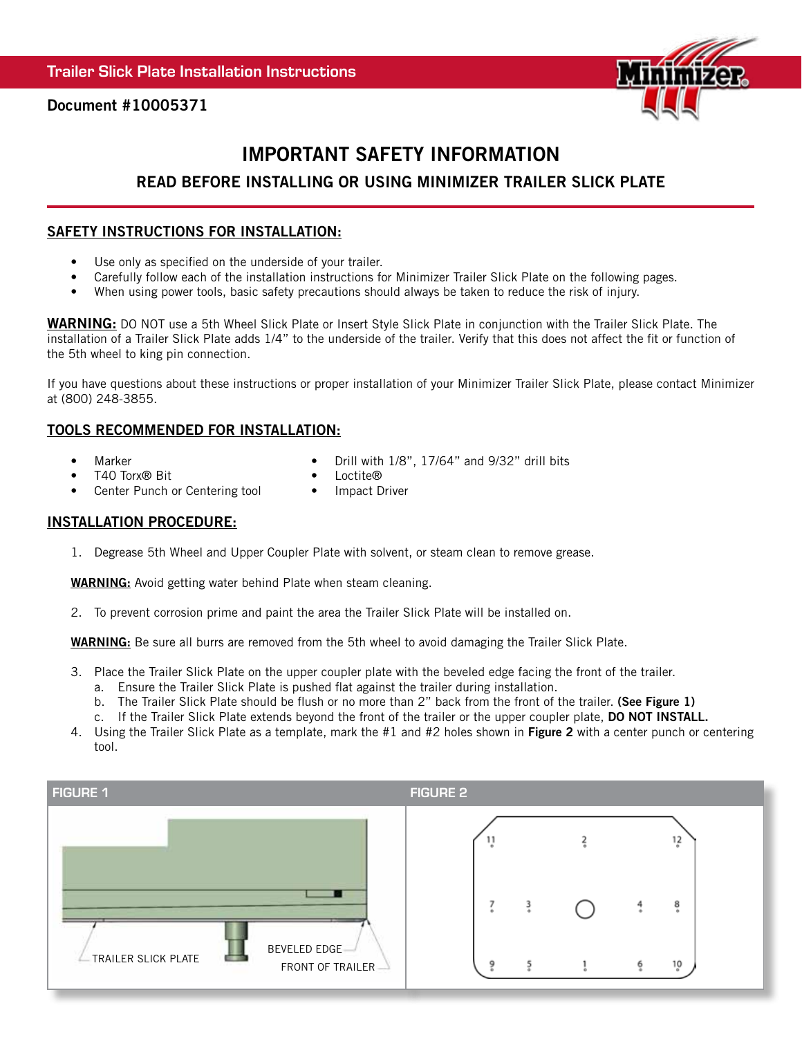

Document #10005371

# IMPORTANT SAFETY INFORMATION

# READ BEFORE INSTALLING OR USING MINIMIZER TRAILER SLICK PLATE

### SAFETY INSTRUCTIONS FOR INSTALLATION:

- Use only as specified on the underside of your trailer.
- Carefully follow each of the installation instructions for Minimizer Trailer Slick Plate on the following pages.
- When using power tools, basic safety precautions should always be taken to reduce the risk of injury.

WARNING: DO NOT use a 5th Wheel Slick Plate or Insert Style Slick Plate in conjunction with the Trailer Slick Plate. The installation of a Trailer Slick Plate adds 1/4" to the underside of the trailer. Verify that this does not affect the fit or function of the 5th wheel to king pin connection.

If you have questions about these instructions or proper installation of your Minimizer Trailer Slick Plate, please contact Minimizer at (800) 248-3855.

# TOOLS RECOMMENDED FOR INSTALLATION:

• Marker

• Drill with 1/8", 17/64" and 9/32" drill bits

• T40 Torx® Bit

- Loctite® • Impact Driver
- Center Punch or Centering tool

#### INSTALLATION PROCEDURE:

1. Degrease 5th Wheel and Upper Coupler Plate with solvent, or steam clean to remove grease.

**WARNING:** Avoid getting water behind Plate when steam cleaning.

2. To prevent corrosion prime and paint the area the Trailer Slick Plate will be installed on.

WARNING: Be sure all burrs are removed from the 5th wheel to avoid damaging the Trailer Slick Plate.

- 3. Place the Trailer Slick Plate on the upper coupler plate with the beveled edge facing the front of the trailer. a. Ensure the Trailer Slick Plate is pushed flat against the trailer during installation.
	-
	- b. The Trailer Slick Plate should be flush or no more than 2" back from the front of the trailer. (See Figure 1)
	- c. If the Trailer Slick Plate extends beyond the front of the trailer or the upper coupler plate, DO NOT INSTALL.
- 4. Using the Trailer Slick Plate as a template, mark the  $#1$  and  $#2$  holes shown in Figure 2 with a center punch or centering tool.

| <b>FIGURE 1</b>     |                                  | <b>FIGURE 2</b> |               |   |         |
|---------------------|----------------------------------|-----------------|---------------|---|---------|
|                     |                                  |                 |               |   | 12      |
|                     |                                  |                 | $\frac{3}{4}$ |   | 8       |
| TRAILER SLICK PLATE | BEVELED EDGE<br>FRONT OF TRAILER |                 |               | o | $^{10}$ |